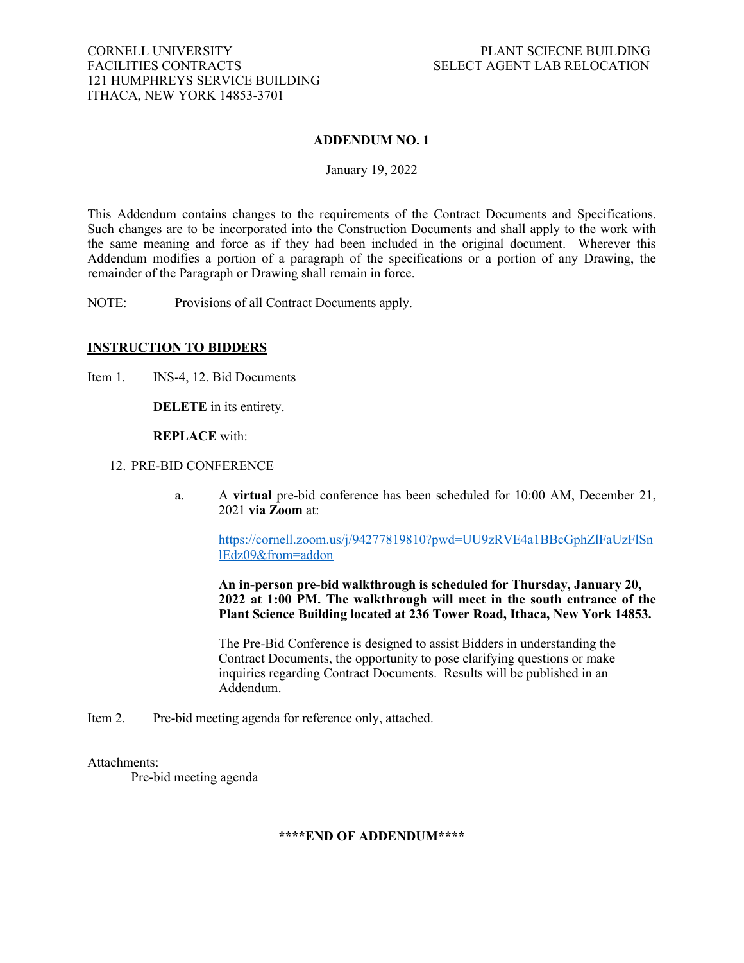### **ADDENDUM NO. 1**

January 19, 2022

This Addendum contains changes to the requirements of the Contract Documents and Specifications. Such changes are to be incorporated into the Construction Documents and shall apply to the work with the same meaning and force as if they had been included in the original document. Wherever this Addendum modifies a portion of a paragraph of the specifications or a portion of any Drawing, the remainder of the Paragraph or Drawing shall remain in force.

NOTE: Provisions of all Contract Documents apply.

### **INSTRUCTION TO BIDDERS**

Item 1. **INS-4, 12. Bid Documents** 

**DELETE** in its entirety.

**REPLACE** with:

#### 12. PRE-BID CONFERENCE

a. A **virtual** pre-bid conference has been scheduled for 10:00 AM, December 21, 2021 **via Zoom** at:

[https://cornell.zoom.us/j/94277819810?pwd=UU9zRVE4a1BBcGphZlFaUzFlSn](https://cornell.zoom.us/j/94277819810?pwd=UU9zRVE4a1BBcGphZlFaUzFlSnlEdz09&from=addon) [lEdz09&from=addon](https://cornell.zoom.us/j/94277819810?pwd=UU9zRVE4a1BBcGphZlFaUzFlSnlEdz09&from=addon)

**An in-person pre-bid walkthrough is scheduled for Thursday, January 20, 2022 at 1:00 PM. The walkthrough will meet in the south entrance of the Plant Science Building located at 236 Tower Road, Ithaca, New York 14853.**

The Pre-Bid Conference is designed to assist Bidders in understanding the Contract Documents, the opportunity to pose clarifying questions or make inquiries regarding Contract Documents. Results will be published in an Addendum.

Item 2. Pre-bid meeting agenda for reference only, attached.

### Attachments:

Pre-bid meeting agenda

**\*\*\*\*END OF ADDENDUM\*\*\*\***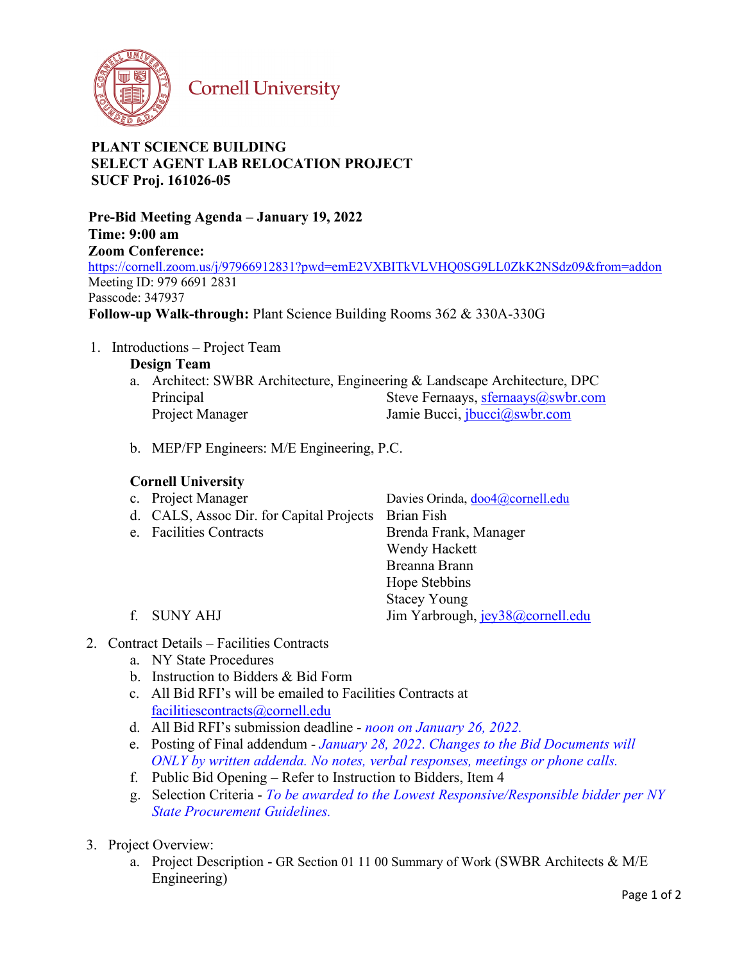

**Cornell University** 

# **PLANT SCIENCE BUILDING SELECT AGENT LAB RELOCATION PROJECT SUCF Proj. 161026-05**

**Pre-Bid Meeting Agenda – January 19, 2022 Time: 9:00 am Zoom Conference:**  https://cornell.zoom.us/j/97966912831?pwd=emE2VXBITkVLVHQ0SG9LL0ZkK2NSdz09&from=addon Meeting ID: 979 6691 2831 Passcode: 347937 **Follow-up Walk-through:** Plant Science Building Rooms 362 & 330A-330G

1. Introductions – Project Team

**Design Team**

- a. Architect: SWBR Architecture, Engineering & Landscape Architecture, DPC Principal Steve Fernaays, sfernaays as Steve Fernaays, sfernaays as when the steve of the Steve Fernaays as  $\frac{1}{2}$ Project Manager Jamie Bucci, jbucci@swbr.com
- b. MEP/FP Engineers: M/E Engineering, P.C.

## **Cornell University**

| c. Project Manager                                  | Davies Orinda, doo4@cornell.edu  |
|-----------------------------------------------------|----------------------------------|
| d. CALS, Assoc Dir. for Capital Projects Brian Fish |                                  |
| e. Facilities Contracts                             | Brenda Frank, Manager            |
|                                                     | Wendy Hackett                    |
|                                                     | Breanna Brann                    |
|                                                     | Hope Stebbins                    |
|                                                     | <b>Stacey Young</b>              |
| f. SUNY AHJ                                         | Jim Yarbrough, jey38@cornell.edu |
|                                                     |                                  |

- 2. Contract Details Facilities Contracts
	- a. NY State Procedures
	- b. Instruction to Bidders & Bid Form
	- c. All Bid RFI's will be emailed to Facilities Contracts at facilitiescontracts@cornell.edu
	- d. All Bid RFI's submission deadline *noon on January 26, 2022.*
	- e. Posting of Final addendum *January 28, 2022*. *Changes to the Bid Documents will ONLY by written addenda. No notes, verbal responses, meetings or phone calls.*
	- f. Public Bid Opening Refer to Instruction to Bidders, Item 4
	- g. Selection Criteria *To be awarded to the Lowest Responsive/Responsible bidder per NY State Procurement Guidelines.*
- 3. Project Overview:
	- a. Project Description GR Section 01 11 00 Summary of Work (SWBR Architects & M/E Engineering)